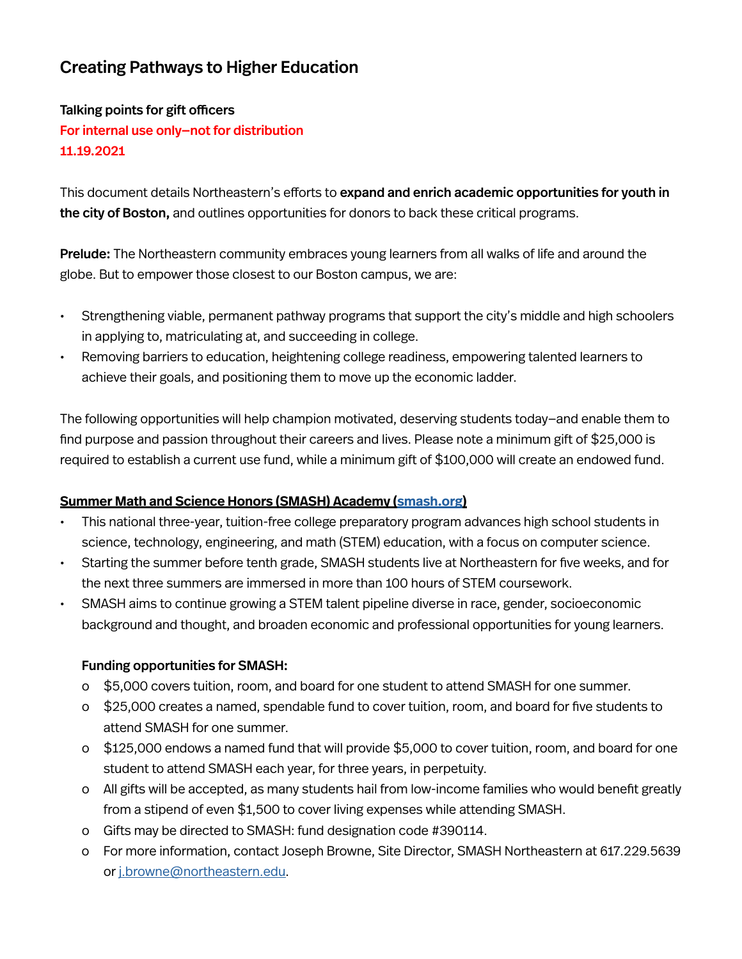# Creating Pathways to Higher Education

# Talking points for gift officers For internal use only—not for distribution 11.19.2021

This document details Northeastern's efforts to expand and enrich academic opportunities for youth in the city of Boston, and outlines opportunities for donors to back these critical programs.

Prelude: The Northeastern community embraces young learners from all walks of life and around the globe. But to empower those closest to our Boston campus, we are:

- Strengthening viable, permanent pathway programs that support the city's middle and high schoolers in applying to, matriculating at, and succeeding in college.
- Removing barriers to education, heightening college readiness, empowering talented learners to achieve their goals, and positioning them to move up the economic ladder.

The following opportunities will help champion motivated, deserving students today—and enable them to find purpose and passion throughout their careers and lives. Please note a minimum gift of \$25,000 is required to establish a current use fund, while a minimum gift of \$100,000 will create an endowed fund.

#### **Summer Math and Science Honors (SMASH) Academy ([smash.org\)](http://smash.org)**

- This national three-year, tuition-free college preparatory program advances high school students in science, technology, engineering, and math (STEM) education, with a focus on computer science.
- Starting the summer before tenth grade, SMASH students live at Northeastern for five weeks, and for the next three summers are immersed in more than 100 hours of STEM coursework.
- SMASH aims to continue growing a STEM talent pipeline diverse in race, gender, socioeconomic background and thought, and broaden economic and professional opportunities for young learners.

#### Funding opportunities for SMASH:

- o \$5,000 covers tuition, room, and board for one student to attend SMASH for one summer.
- o \$25,000 creates a named, spendable fund to cover tuition, room, and board for five students to attend SMASH for one summer.
- o \$125,000 endows a named fund that will provide \$5,000 to cover tuition, room, and board for one student to attend SMASH each year, for three years, in perpetuity.
- o All gifts will be accepted, as many students hail from low-income families who would benefit greatly from a stipend of even \$1,500 to cover living expenses while attending SMASH.
- o Gifts may be directed to SMASH: fund designation code #390114.
- o For more information, contact Joseph Browne, Site Director, SMASH Northeastern at 617.229.5639 or [j.browne@northeastern.edu.](mailto:j.browne%40northeastern.edu?subject=)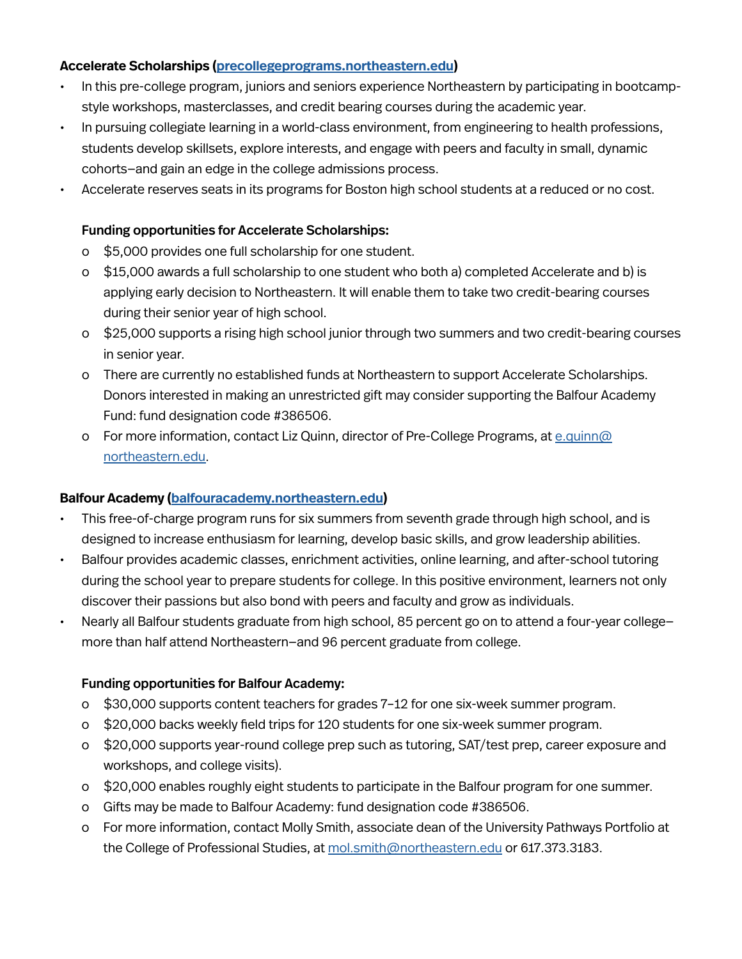#### **Accelerate Scholarships ([precollegeprograms.northeastern.edu\)](http://precollegeprograms.northeastern.edu)**

- In this pre-college program, juniors and seniors experience Northeastern by participating in bootcampstyle workshops, masterclasses, and credit bearing courses during the academic year.
- In pursuing collegiate learning in a world-class environment, from engineering to health professions, students develop skillsets, explore interests, and engage with peers and faculty in small, dynamic cohorts—and gain an edge in the college admissions process.
- Accelerate reserves seats in its programs for Boston high school students at a reduced or no cost.

## Funding opportunities for Accelerate Scholarships:

- o \$5,000 provides one full scholarship for one student.
- o \$15,000 awards a full scholarship to one student who both a) completed Accelerate and b) is applying early decision to Northeastern. It will enable them to take two credit-bearing courses during their senior year of high school.
- o \$25,000 supports a rising high school junior through two summers and two credit-bearing courses in senior year.
- o There are currently no established funds at Northeastern to support Accelerate Scholarships. Donors interested in making an unrestricted gift may consider supporting the Balfour Academy Fund: fund designation code #386506.
- o For more information, contact Liz Quinn, director of Pre-College Programs, at  $e.$  quinn $@$ [northeastern.edu.](mailto:e.quinn%40northeastern.edu?subject=)

#### **Balfour Academy ([balfouracademy.northeastern.edu](http://balfouracademy.northeastern.edu))**

- This free-of-charge program runs for six summers from seventh grade through high school, and is designed to increase enthusiasm for learning, develop basic skills, and grow leadership abilities.
- Balfour provides academic classes, enrichment activities, online learning, and after-school tutoring during the school year to prepare students for college. In this positive environment, learners not only discover their passions but also bond with peers and faculty and grow as individuals.
- Nearly all Balfour students graduate from high school, 85 percent go on to attend a four-year college more than half attend Northeastern—and 96 percent graduate from college.

#### Funding opportunities for Balfour Academy:

- o \$30,000 supports content teachers for grades 7–12 for one six-week summer program.
- o \$20,000 backs weekly field trips for 120 students for one six-week summer program.
- o \$20,000 supports year-round college prep such as tutoring, SAT/test prep, career exposure and workshops, and college visits).
- o \$20,000 enables roughly eight students to participate in the Balfour program for one summer.
- o Gifts may be made to Balfour Academy: fund designation code #386506.
- o For more information, contact Molly Smith, associate dean of the University Pathways Portfolio at the College of Professional Studies, at [mol.smith@northeastern.edu](mailto:mol.smith%40northeastern.edu?subject=) or 617.373.3183.